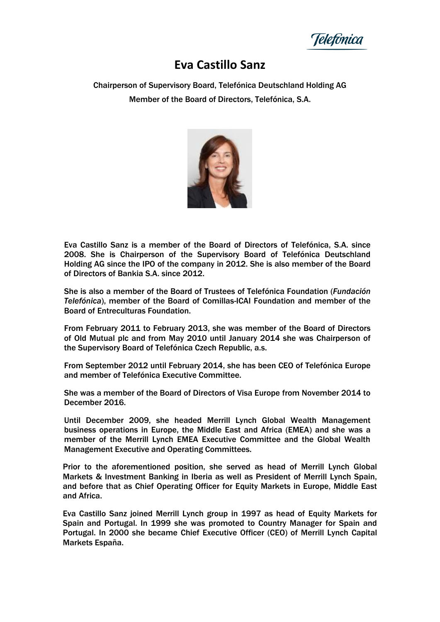leletónica

## **Eva Castillo Sanz**

Chairperson of Supervisory Board, Telefónica Deutschland Holding AG Member of the Board of Directors, Telefónica, S.A.



Eva Castillo Sanz is a member of the Board of Directors of Telefónica, S.A. since 2008. She is Chairperson of the Supervisory Board of Telefónica Deutschland Holding AG since the IPO of the company in 2012. She is also member of the Board of Directors of Bankia S.A. since 2012.

She is also a member of the Board of Trustees of Telefónica Foundation (*Fundación Telefónica*), member of the Board of Comillas-ICAI Foundation and member of the Board of Entreculturas Foundation.

From February 2011 to February 2013, she was member of the Board of Directors of Old Mutual plc and from May 2010 until January 2014 she was Chairperson of the Supervisory Board of Telefónica Czech Republic, a.s.

From September 2012 until February 2014, she has been CEO of Telefónica Europe and member of Telefónica Executive Committee.

She was a member of the Board of Directors of Visa Europe from November 2014 to December 2016.

Until December 2009, she headed Merrill Lynch Global Wealth Management business operations in Europe, the Middle East and Africa (EMEA) and she was a member of the Merrill Lynch EMEA Executive Committee and the Global Wealth Management Executive and Operating Committees.

Prior to the aforementioned position, she served as head of Merrill Lynch Global Markets & Investment Banking in Iberia as well as President of Merrill Lynch Spain, and before that as Chief Operating Officer for Equity Markets in Europe, Middle East and Africa.

Eva Castillo Sanz joined Merrill Lynch group in 1997 as head of Equity Markets for Spain and Portugal. In 1999 she was promoted to Country Manager for Spain and Portugal. In 2000 she became Chief Executive Officer (CEO) of Merrill Lynch Capital Markets España.